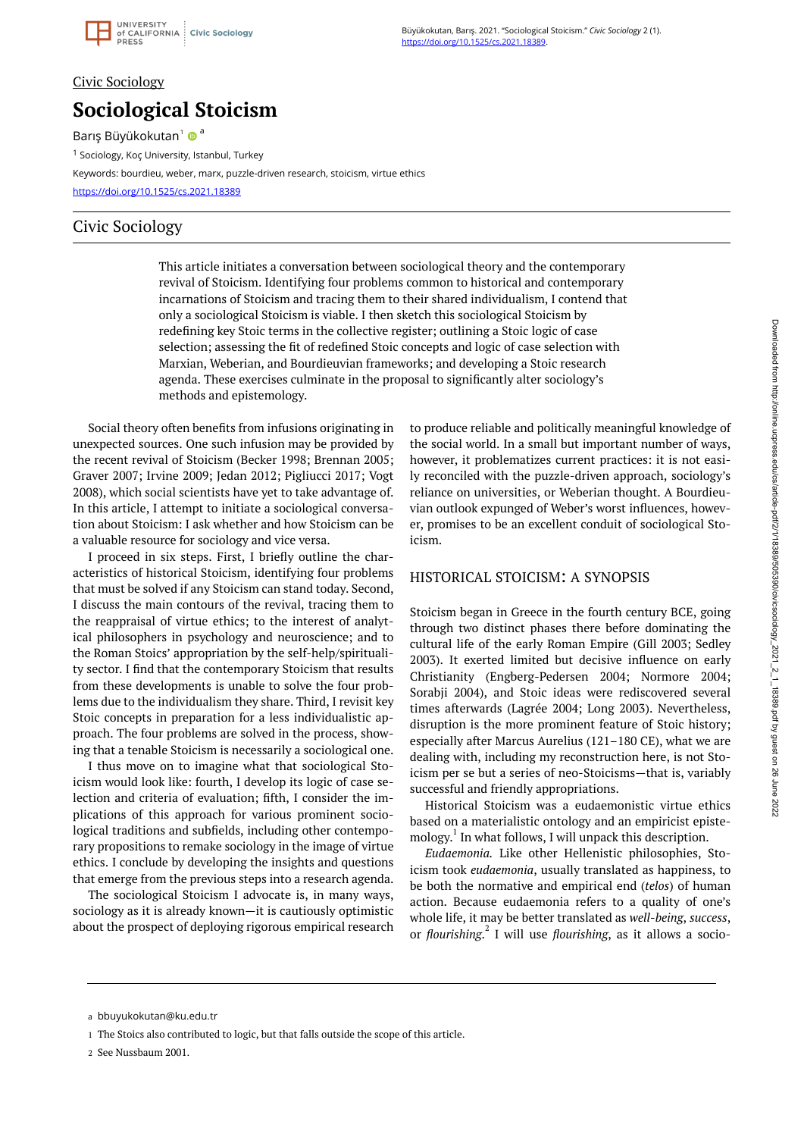

#### Civic Sociology

# **Sociological Stoicism**

Barış Büyükokutan<sup>1</sup> ®<sup>a</sup>

<sup>1</sup> Sociology, Koç University, Istanbul, Turkey

Keywords: bourdieu, weber, marx, puzzle-driven research, stoicism, virtue ethics

<https://doi.org/10.1525/cs.2021.18389>

## Civic Sociology

This article initiates a conversation between sociological theory and the contemporary revival of Stoicism. Identifying four problems common to historical and contemporary incarnations of Stoicism and tracing them to their shared individualism, I contend that only a sociological Stoicism is viable. I then sketch this sociological Stoicism by redefining key Stoic terms in the collective register; outlining a Stoic logic of case selection; assessing the fit of redefined Stoic concepts and logic of case selection with Marxian, Weberian, and Bourdieuvian frameworks; and developing a Stoic research agenda. These exercises culminate in the proposal to significantly alter sociology's methods and epistemology.

Social theory often benefits from infusions originating in unexpected sources. One such infusion may be provided by the recent revival of Stoicism (Becker 1998; Brennan 2005; Graver 2007; Irvine 2009; Jedan 2012; Pigliucci 2017; Vogt 2008), which social scientists have yet to take advantage of. In this article, I attempt to initiate a sociological conversation about Stoicism: I ask whether and how Stoicism can be a valuable resource for sociology and vice versa.

I proceed in six steps. First, I briefly outline the characteristics of historical Stoicism, identifying four problems that must be solved if any Stoicism can stand today. Second, I discuss the main contours of the revival, tracing them to the reappraisal of virtue ethics; to the interest of analytical philosophers in psychology and neuroscience; and to the Roman Stoics' appropriation by the self-help/spirituality sector. I find that the contemporary Stoicism that results from these developments is unable to solve the four problems due to the individualism they share. Third, I revisit key Stoic concepts in preparation for a less individualistic approach. The four problems are solved in the process, showing that a tenable Stoicism is necessarily a sociological one.

I thus move on to imagine what that sociological Stoicism would look like: fourth, I develop its logic of case selection and criteria of evaluation; fifth, I consider the implications of this approach for various prominent sociological traditions and subfields, including other contemporary propositions to remake sociology in the image of virtue ethics. I conclude by developing the insights and questions that emerge from the previous steps into a research agenda.

The sociological Stoicism I advocate is, in many ways, sociology as it is already known—it is cautiously optimistic about the prospect of deploying rigorous empirical research

to produce reliable and politically meaningful knowledge of the social world. In a small but important number of ways, however, it problematizes current practices: it is not easily reconciled with the puzzle-driven approach, sociology's reliance on universities, or Weberian thought. A Bourdieuvian outlook expunged of Weber's worst influences, however, promises to be an excellent conduit of sociological Stoicism.

#### HISTORICAL STOICISM: A SYNOPSIS

Stoicism began in Greece in the fourth century BCE, going through two distinct phases there before dominating the cultural life of the early Roman Empire (Gill 2003; Sedley 2003). It exerted limited but decisive influence on early Christianity (Engberg-Pedersen 2004; Normore 2004; Sorabji 2004), and Stoic ideas were rediscovered several times afterwards (Lagrée 2004; Long 2003). Nevertheless, disruption is the more prominent feature of Stoic history; especially after Marcus Aurelius (121–180 CE), what we are dealing with, including my reconstruction here, is not Stoicism per se but a series of neo-Stoicisms—that is, variably successful and friendly appropriations.

Historical Stoicism was a eudaemonistic virtue ethics based on a materialistic ontology and an empiricist epistemology. 1 In what follows, I will unpack this description.

*Eudaemonia.* Like other Hellenistic philosophies, Stoicism took *eudaemonia*, usually translated as happiness, to be both the normative and empirical end (*telos*) of human action. Because eudaemonia refers to a quality of one's whole life, it may be better translated as *well-being*, *success*, or *flourishing*. 2 I will use *flourishing*, as it allows a socio-

bbuyukokutan@ku.edu.tr a

The Stoics also contributed to logic, but that falls outside the scope of this article. 1

<sup>2</sup> See Nussbaum 2001.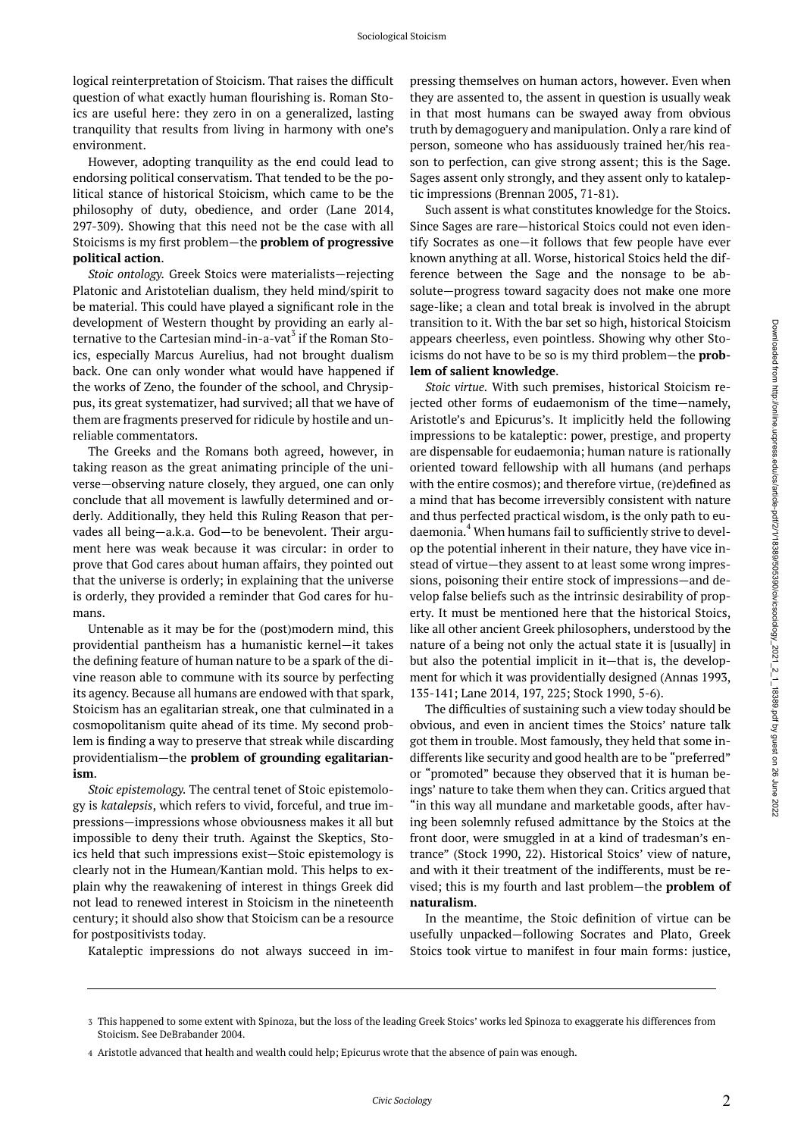logical reinterpretation of Stoicism. That raises the difficult question of what exactly human flourishing is. Roman Stoics are useful here: they zero in on a generalized, lasting tranquility that results from living in harmony with one's environment.

However, adopting tranquility as the end could lead to endorsing political conservatism. That tended to be the political stance of historical Stoicism, which came to be the philosophy of duty, obedience, and order (Lane 2014, 297-309). Showing that this need not be the case with all Stoicisms is my first problem—the **problem of progressive political action**.

*Stoic ontology.* Greek Stoics were materialists—rejecting Platonic and Aristotelian dualism, they held mind/spirit to be material. This could have played a significant role in the development of Western thought by providing an early alternative to the Cartesian mind-in-a-vat<sup>3</sup> if the Roman Stoics, especially Marcus Aurelius, had not brought dualism back. One can only wonder what would have happened if the works of Zeno, the founder of the school, and Chrysippus, its great systematizer, had survived; all that we have of them are fragments preserved for ridicule by hostile and unreliable commentators.

The Greeks and the Romans both agreed, however, in taking reason as the great animating principle of the universe—observing nature closely, they argued, one can only conclude that all movement is lawfully determined and orderly. Additionally, they held this Ruling Reason that pervades all being—a.k.a. God—to be benevolent. Their argument here was weak because it was circular: in order to prove that God cares about human affairs, they pointed out that the universe is orderly; in explaining that the universe is orderly, they provided a reminder that God cares for humans.

Untenable as it may be for the (post)modern mind, this providential pantheism has a humanistic kernel—it takes the defining feature of human nature to be a spark of the divine reason able to commune with its source by perfecting its agency. Because all humans are endowed with that spark, Stoicism has an egalitarian streak, one that culminated in a cosmopolitanism quite ahead of its time. My second problem is finding a way to preserve that streak while discarding providentialism—the **problem of grounding egalitarianism**.

*Stoic epistemology.* The central tenet of Stoic epistemology is *katalepsis*, which refers to vivid, forceful, and true impressions—impressions whose obviousness makes it all but impossible to deny their truth. Against the Skeptics, Stoics held that such impressions exist—Stoic epistemology is clearly not in the Humean/Kantian mold. This helps to explain why the reawakening of interest in things Greek did not lead to renewed interest in Stoicism in the nineteenth century; it should also show that Stoicism can be a resource for postpositivists today.

pressing themselves on human actors, however. Even when they are assented to, the assent in question is usually weak in that most humans can be swayed away from obvious truth by demagoguery and manipulation. Only a rare kind of person, someone who has assiduously trained her/his reason to perfection, can give strong assent; this is the Sage. Sages assent only strongly, and they assent only to kataleptic impressions (Brennan 2005, 71-81).

Such assent is what constitutes knowledge for the Stoics. Since Sages are rare—historical Stoics could not even identify Socrates as one—it follows that few people have ever known anything at all. Worse, historical Stoics held the difference between the Sage and the nonsage to be absolute—progress toward sagacity does not make one more sage-like; a clean and total break is involved in the abrupt transition to it. With the bar set so high, historical Stoicism appears cheerless, even pointless. Showing why other Stoicisms do not have to be so is my third problem—the **problem of salient knowledge**.

*Stoic virtue.* With such premises, historical Stoicism rejected other forms of eudaemonism of the time—namely, Aristotle's and Epicurus's. It implicitly held the following impressions to be kataleptic: power, prestige, and property are dispensable for eudaemonia; human nature is rationally oriented toward fellowship with all humans (and perhaps with the entire cosmos); and therefore virtue, (re)defined as a mind that has become irreversibly consistent with nature and thus perfected practical wisdom, is the only path to eudaemonia.<sup>4</sup> When humans fail to sufficiently strive to develop the potential inherent in their nature, they have vice instead of virtue—they assent to at least some wrong impressions, poisoning their entire stock of impressions—and develop false beliefs such as the intrinsic desirability of property. It must be mentioned here that the historical Stoics, like all other ancient Greek philosophers, understood by the nature of a being not only the actual state it is [usually] in but also the potential implicit in it—that is, the development for which it was providentially designed (Annas 1993, 135-141; Lane 2014, 197, 225; Stock 1990, 5-6).

The difficulties of sustaining such a view today should be obvious, and even in ancient times the Stoics' nature talk got them in trouble. Most famously, they held that some indifferents like security and good health are to be "preferred" or "promoted" because they observed that it is human beings' nature to take them when they can. Critics argued that "in this way all mundane and marketable goods, after having been solemnly refused admittance by the Stoics at the front door, were smuggled in at a kind of tradesman's entrance" (Stock 1990, 22). Historical Stoics' view of nature, and with it their treatment of the indifferents, must be revised; this is my fourth and last problem—the **problem of naturalism**.

In the meantime, the Stoic definition of virtue can be usefully unpacked—following Socrates and Plato, Greek Stoics took virtue to manifest in four main forms: justice,

Kataleptic impressions do not always succeed in im-

This happened to some extent with Spinoza, but the loss of the leading Greek Stoics' works led Spinoza to exaggerate his differences from 3 Stoicism. See DeBrabander 2004.

Aristotle advanced that health and wealth could help; Epicurus wrote that the absence of pain was enough. 4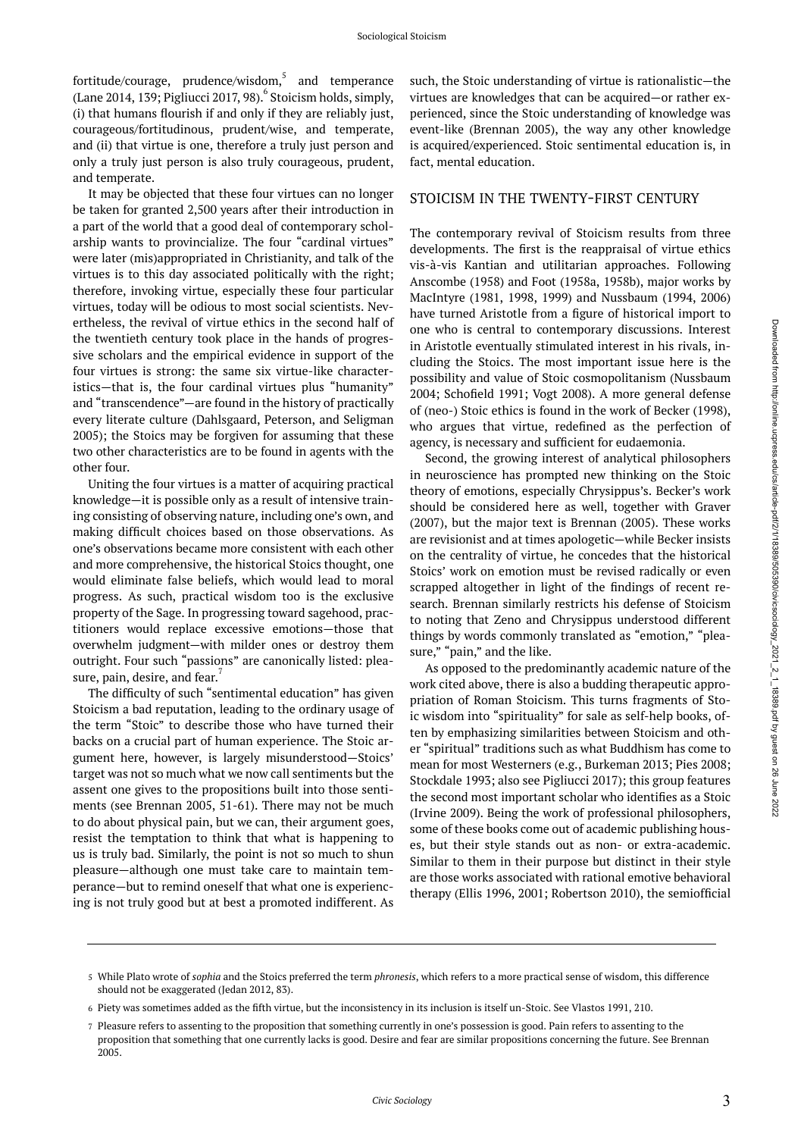fortitude/courage, prudence/wisdom, $^5$  and temperance (Lane 2014, 139; Pigliucci 2017, 98). 6 Stoicism holds, simply, (i) that humans flourish if and only if they are reliably just, courageous/fortitudinous, prudent/wise, and temperate, and (ii) that virtue is one, therefore a truly just person and only a truly just person is also truly courageous, prudent, and temperate.

It may be objected that these four virtues can no longer be taken for granted 2,500 years after their introduction in a part of the world that a good deal of contemporary scholarship wants to provincialize. The four "cardinal virtues" were later (mis)appropriated in Christianity, and talk of the virtues is to this day associated politically with the right; therefore, invoking virtue, especially these four particular virtues, today will be odious to most social scientists. Nevertheless, the revival of virtue ethics in the second half of the twentieth century took place in the hands of progressive scholars and the empirical evidence in support of the four virtues is strong: the same six virtue-like characteristics—that is, the four cardinal virtues plus "humanity" and "transcendence"—are found in the history of practically every literate culture (Dahlsgaard, Peterson, and Seligman 2005); the Stoics may be forgiven for assuming that these two other characteristics are to be found in agents with the other four.

Uniting the four virtues is a matter of acquiring practical knowledge—it is possible only as a result of intensive training consisting of observing nature, including one's own, and making difficult choices based on those observations. As one's observations became more consistent with each other and more comprehensive, the historical Stoics thought, one would eliminate false beliefs, which would lead to moral progress. As such, practical wisdom too is the exclusive property of the Sage. In progressing toward sagehood, practitioners would replace excessive emotions—those that overwhelm judgment—with milder ones or destroy them outright. Four such "passions" are canonically listed: pleasure, pain, desire, and fear. $^7$ 

The difficulty of such "sentimental education" has given Stoicism a bad reputation, leading to the ordinary usage of the term "Stoic" to describe those who have turned their backs on a crucial part of human experience. The Stoic argument here, however, is largely misunderstood—Stoics' target was not so much what we now call sentiments but the assent one gives to the propositions built into those sentiments (see Brennan 2005, 51-61). There may not be much to do about physical pain, but we can, their argument goes, resist the temptation to think that what is happening to us is truly bad. Similarly, the point is not so much to shun pleasure—although one must take care to maintain temperance—but to remind oneself that what one is experiencing is not truly good but at best a promoted indifferent. As

such, the Stoic understanding of virtue is rationalistic—the virtues are knowledges that can be acquired—or rather experienced, since the Stoic understanding of knowledge was event-like (Brennan 2005), the way any other knowledge is acquired/experienced. Stoic sentimental education is, in fact, mental education.

#### STOICISM IN THE TWENTY-FIRST CENTURY

The contemporary revival of Stoicism results from three developments. The first is the reappraisal of virtue ethics vis-à-vis Kantian and utilitarian approaches. Following Anscombe (1958) and Foot (1958a, 1958b), major works by MacIntyre (1981, 1998, 1999) and Nussbaum (1994, 2006) have turned Aristotle from a figure of historical import to one who is central to contemporary discussions. Interest in Aristotle eventually stimulated interest in his rivals, including the Stoics. The most important issue here is the possibility and value of Stoic cosmopolitanism (Nussbaum 2004; Schofield 1991; Vogt 2008). A more general defense of (neo-) Stoic ethics is found in the work of Becker (1998), who argues that virtue, redefined as the perfection of agency, is necessary and sufficient for eudaemonia.

Second, the growing interest of analytical philosophers in neuroscience has prompted new thinking on the Stoic theory of emotions, especially Chrysippus's. Becker's work should be considered here as well, together with Graver (2007), but the major text is Brennan (2005). These works are revisionist and at times apologetic—while Becker insists on the centrality of virtue, he concedes that the historical Stoics' work on emotion must be revised radically or even scrapped altogether in light of the findings of recent research. Brennan similarly restricts his defense of Stoicism to noting that Zeno and Chrysippus understood different things by words commonly translated as "emotion," "pleasure," "pain," and the like.

As opposed to the predominantly academic nature of the work cited above, there is also a budding therapeutic appropriation of Roman Stoicism. This turns fragments of Stoic wisdom into "spirituality" for sale as self-help books, often by emphasizing similarities between Stoicism and other "spiritual" traditions such as what Buddhism has come to mean for most Westerners (e.g., Burkeman 2013; Pies 2008; Stockdale 1993; also see Pigliucci 2017); this group features the second most important scholar who identifies as a Stoic (Irvine 2009). Being the work of professional philosophers, some of these books come out of academic publishing houses, but their style stands out as non- or extra-academic. Similar to them in their purpose but distinct in their style are those works associated with rational emotive behavioral therapy (Ellis 1996, 2001; Robertson 2010), the semiofficial

While Plato wrote of *sophia* and the Stoics preferred the term *phronesis*, which refers to a more practical sense of wisdom, this difference 5 should not be exaggerated (Jedan 2012, 83).

 $\,$  Piety was sometimes added as the fifth virtue, but the inconsistency in its inclusion is itself un-Stoic. See Vlastos 1991, 210.

Pleasure refers to assenting to the proposition that something currently in one's possession is good. Pain refers to assenting to the 7 proposition that something that one currently lacks is good. Desire and fear are similar propositions concerning the future. See Brennan 2005.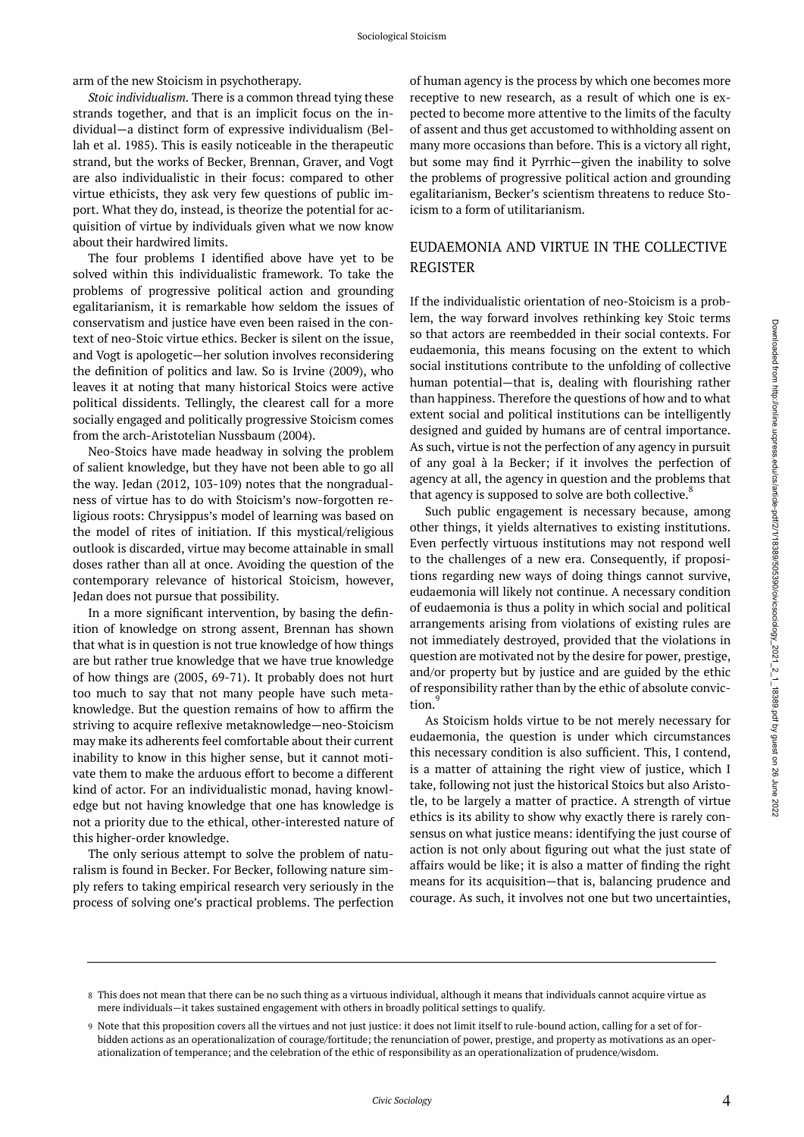arm of the new Stoicism in psychotherapy.

*Stoic individualism.* There is a common thread tying these strands together, and that is an implicit focus on the individual—a distinct form of expressive individualism (Bellah et al. 1985). This is easily noticeable in the therapeutic strand, but the works of Becker, Brennan, Graver, and Vogt are also individualistic in their focus: compared to other virtue ethicists, they ask very few questions of public import. What they do, instead, is theorize the potential for acquisition of virtue by individuals given what we now know about their hardwired limits.

The four problems I identified above have yet to be solved within this individualistic framework. To take the problems of progressive political action and grounding egalitarianism, it is remarkable how seldom the issues of conservatism and justice have even been raised in the context of neo-Stoic virtue ethics. Becker is silent on the issue, and Vogt is apologetic—her solution involves reconsidering the definition of politics and law. So is Irvine (2009), who leaves it at noting that many historical Stoics were active political dissidents. Tellingly, the clearest call for a more socially engaged and politically progressive Stoicism comes from the arch-Aristotelian Nussbaum (2004).

Neo-Stoics have made headway in solving the problem of salient knowledge, but they have not been able to go all the way. Jedan (2012, 103-109) notes that the nongradualness of virtue has to do with Stoicism's now-forgotten religious roots: Chrysippus's model of learning was based on the model of rites of initiation. If this mystical/religious outlook is discarded, virtue may become attainable in small doses rather than all at once. Avoiding the question of the contemporary relevance of historical Stoicism, however, Jedan does not pursue that possibility.

In a more significant intervention, by basing the definition of knowledge on strong assent, Brennan has shown that what is in question is not true knowledge of how things are but rather true knowledge that we have true knowledge of how things are (2005, 69-71). It probably does not hurt too much to say that not many people have such metaknowledge. But the question remains of how to affirm the striving to acquire reflexive metaknowledge—neo-Stoicism may make its adherents feel comfortable about their current inability to know in this higher sense, but it cannot motivate them to make the arduous effort to become a different kind of actor. For an individualistic monad, having knowledge but not having knowledge that one has knowledge is not a priority due to the ethical, other-interested nature of this higher-order knowledge.

The only serious attempt to solve the problem of naturalism is found in Becker. For Becker, following nature simply refers to taking empirical research very seriously in the process of solving one's practical problems. The perfection of human agency is the process by which one becomes more receptive to new research, as a result of which one is expected to become more attentive to the limits of the faculty of assent and thus get accustomed to withholding assent on many more occasions than before. This is a victory all right, but some may find it Pyrrhic—given the inability to solve the problems of progressive political action and grounding egalitarianism, Becker's scientism threatens to reduce Stoicism to a form of utilitarianism.

### EUDAEMONIA AND VIRTUE IN THE COLLECTIVE REGISTER

If the individualistic orientation of neo-Stoicism is a problem, the way forward involves rethinking key Stoic terms so that actors are reembedded in their social contexts. For eudaemonia, this means focusing on the extent to which social institutions contribute to the unfolding of collective human potential—that is, dealing with flourishing rather than happiness. Therefore the questions of how and to what extent social and political institutions can be intelligently designed and guided by humans are of central importance. As such, virtue is not the perfection of any agency in pursuit of any goal à la Becker; if it involves the perfection of agency at all, the agency in question and the problems that that agency is supposed to solve are both collective. ${}^{8}$ 

Such public engagement is necessary because, among other things, it yields alternatives to existing institutions. Even perfectly virtuous institutions may not respond well to the challenges of a new era. Consequently, if propositions regarding new ways of doing things cannot survive, eudaemonia will likely not continue. A necessary condition of eudaemonia is thus a polity in which social and political arrangements arising from violations of existing rules are not immediately destroyed, provided that the violations in question are motivated not by the desire for power, prestige, and/or property but by justice and are guided by the ethic of responsibility rather than by the ethic of absolute conviction.

As Stoicism holds virtue to be not merely necessary for eudaemonia, the question is under which circumstances this necessary condition is also sufficient. This, I contend, is a matter of attaining the right view of justice, which I take, following not just the historical Stoics but also Aristotle, to be largely a matter of practice. A strength of virtue ethics is its ability to show why exactly there is rarely consensus on what justice means: identifying the just course of action is not only about figuring out what the just state of affairs would be like; it is also a matter of finding the right means for its acquisition—that is, balancing prudence and courage. As such, it involves not one but two uncertainties,

This does not mean that there can be no such thing as a virtuous individual, although it means that individuals cannot acquire virtue as 8 mere individuals—it takes sustained engagement with others in broadly political settings to qualify.

Note that this proposition covers all the virtues and not just justice: it does not limit itself to rule-bound action, calling for a set of for-9 bidden actions as an operationalization of courage/fortitude; the renunciation of power, prestige, and property as motivations as an operationalization of temperance; and the celebration of the ethic of responsibility as an operationalization of prudence/wisdom.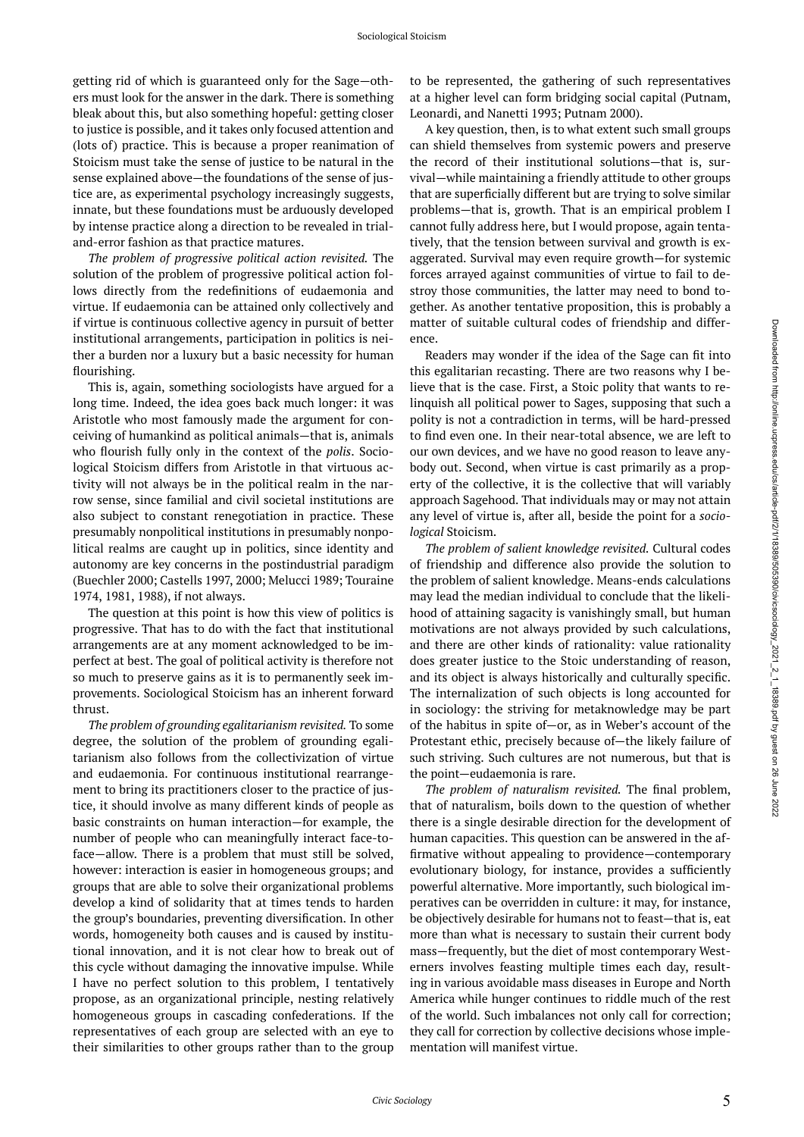getting rid of which is guaranteed only for the Sage—others must look for the answer in the dark. There is something bleak about this, but also something hopeful: getting closer to justice is possible, and it takes only focused attention and (lots of) practice. This is because a proper reanimation of Stoicism must take the sense of justice to be natural in the sense explained above—the foundations of the sense of justice are, as experimental psychology increasingly suggests, innate, but these foundations must be arduously developed by intense practice along a direction to be revealed in trialand-error fashion as that practice matures.

*The problem of progressive political action revisited.* The solution of the problem of progressive political action follows directly from the redefinitions of eudaemonia and virtue. If eudaemonia can be attained only collectively and if virtue is continuous collective agency in pursuit of better institutional arrangements, participation in politics is neither a burden nor a luxury but a basic necessity for human flourishing.

This is, again, something sociologists have argued for a long time. Indeed, the idea goes back much longer: it was Aristotle who most famously made the argument for conceiving of humankind as political animals—that is, animals who flourish fully only in the context of the *polis*. Sociological Stoicism differs from Aristotle in that virtuous activity will not always be in the political realm in the narrow sense, since familial and civil societal institutions are also subject to constant renegotiation in practice. These presumably nonpolitical institutions in presumably nonpolitical realms are caught up in politics, since identity and autonomy are key concerns in the postindustrial paradigm (Buechler 2000; Castells 1997, 2000; Melucci 1989; Touraine 1974, 1981, 1988), if not always.

The question at this point is how this view of politics is progressive. That has to do with the fact that institutional arrangements are at any moment acknowledged to be imperfect at best. The goal of political activity is therefore not so much to preserve gains as it is to permanently seek improvements. Sociological Stoicism has an inherent forward thrust.

*The problem of grounding egalitarianism revisited.* To some degree, the solution of the problem of grounding egalitarianism also follows from the collectivization of virtue and eudaemonia. For continuous institutional rearrangement to bring its practitioners closer to the practice of justice, it should involve as many different kinds of people as basic constraints on human interaction—for example, the number of people who can meaningfully interact face-toface—allow. There is a problem that must still be solved, however: interaction is easier in homogeneous groups; and groups that are able to solve their organizational problems develop a kind of solidarity that at times tends to harden the group's boundaries, preventing diversification. In other words, homogeneity both causes and is caused by institutional innovation, and it is not clear how to break out of this cycle without damaging the innovative impulse. While I have no perfect solution to this problem, I tentatively propose, as an organizational principle, nesting relatively homogeneous groups in cascading confederations. If the representatives of each group are selected with an eye to their similarities to other groups rather than to the group

to be represented, the gathering of such representatives at a higher level can form bridging social capital (Putnam, Leonardi, and Nanetti 1993; Putnam 2000).

A key question, then, is to what extent such small groups can shield themselves from systemic powers and preserve the record of their institutional solutions—that is, survival—while maintaining a friendly attitude to other groups that are superficially different but are trying to solve similar problems—that is, growth. That is an empirical problem I cannot fully address here, but I would propose, again tentatively, that the tension between survival and growth is exaggerated. Survival may even require growth—for systemic forces arrayed against communities of virtue to fail to destroy those communities, the latter may need to bond together. As another tentative proposition, this is probably a matter of suitable cultural codes of friendship and difference.

Readers may wonder if the idea of the Sage can fit into this egalitarian recasting. There are two reasons why I believe that is the case. First, a Stoic polity that wants to relinquish all political power to Sages, supposing that such a polity is not a contradiction in terms, will be hard-pressed to find even one. In their near-total absence, we are left to our own devices, and we have no good reason to leave anybody out. Second, when virtue is cast primarily as a property of the collective, it is the collective that will variably approach Sagehood. That individuals may or may not attain any level of virtue is, after all, beside the point for a *sociological* Stoicism.

*The problem of salient knowledge revisited.* Cultural codes of friendship and difference also provide the solution to the problem of salient knowledge. Means-ends calculations may lead the median individual to conclude that the likelihood of attaining sagacity is vanishingly small, but human motivations are not always provided by such calculations, and there are other kinds of rationality: value rationality does greater justice to the Stoic understanding of reason, and its object is always historically and culturally specific. The internalization of such objects is long accounted for in sociology: the striving for metaknowledge may be part of the habitus in spite of—or, as in Weber's account of the Protestant ethic, precisely because of—the likely failure of such striving. Such cultures are not numerous, but that is the point—eudaemonia is rare.

*The problem of naturalism revisited.* The final problem, that of naturalism, boils down to the question of whether there is a single desirable direction for the development of human capacities. This question can be answered in the affirmative without appealing to providence—contemporary evolutionary biology, for instance, provides a sufficiently powerful alternative. More importantly, such biological imperatives can be overridden in culture: it may, for instance, be objectively desirable for humans not to feast—that is, eat more than what is necessary to sustain their current body mass—frequently, but the diet of most contemporary Westerners involves feasting multiple times each day, resulting in various avoidable mass diseases in Europe and North America while hunger continues to riddle much of the rest of the world. Such imbalances not only call for correction; they call for correction by collective decisions whose implementation will manifest virtue.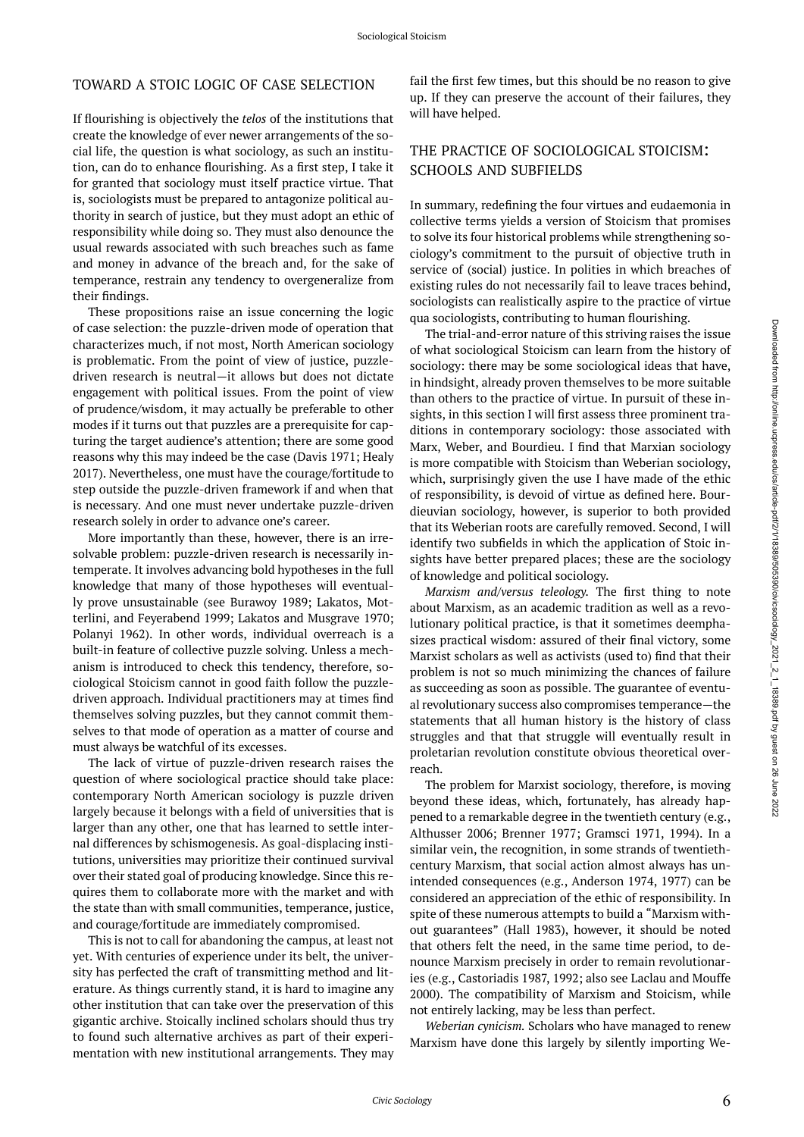## TOWARD A STOIC LOGIC OF CASE SELECTION

If flourishing is objectively the *telos* of the institutions that create the knowledge of ever newer arrangements of the social life, the question is what sociology, as such an institution, can do to enhance flourishing. As a first step, I take it for granted that sociology must itself practice virtue. That is, sociologists must be prepared to antagonize political authority in search of justice, but they must adopt an ethic of responsibility while doing so. They must also denounce the usual rewards associated with such breaches such as fame and money in advance of the breach and, for the sake of temperance, restrain any tendency to overgeneralize from their findings.

These propositions raise an issue concerning the logic of case selection: the puzzle-driven mode of operation that characterizes much, if not most, North American sociology is problematic. From the point of view of justice, puzzledriven research is neutral—it allows but does not dictate engagement with political issues. From the point of view of prudence/wisdom, it may actually be preferable to other modes if it turns out that puzzles are a prerequisite for capturing the target audience's attention; there are some good reasons why this may indeed be the case (Davis 1971; Healy 2017). Nevertheless, one must have the courage/fortitude to step outside the puzzle-driven framework if and when that is necessary. And one must never undertake puzzle-driven research solely in order to advance one's career.

More importantly than these, however, there is an irresolvable problem: puzzle-driven research is necessarily intemperate. It involves advancing bold hypotheses in the full knowledge that many of those hypotheses will eventually prove unsustainable (see Burawoy 1989; Lakatos, Motterlini, and Feyerabend 1999; Lakatos and Musgrave 1970; Polanyi 1962). In other words, individual overreach is a built-in feature of collective puzzle solving. Unless a mechanism is introduced to check this tendency, therefore, sociological Stoicism cannot in good faith follow the puzzledriven approach. Individual practitioners may at times find themselves solving puzzles, but they cannot commit themselves to that mode of operation as a matter of course and must always be watchful of its excesses.

The lack of virtue of puzzle-driven research raises the question of where sociological practice should take place: contemporary North American sociology is puzzle driven largely because it belongs with a field of universities that is larger than any other, one that has learned to settle internal differences by schismogenesis. As goal-displacing institutions, universities may prioritize their continued survival over their stated goal of producing knowledge. Since this requires them to collaborate more with the market and with the state than with small communities, temperance, justice, and courage/fortitude are immediately compromised.

This is not to call for abandoning the campus, at least not yet. With centuries of experience under its belt, the university has perfected the craft of transmitting method and literature. As things currently stand, it is hard to imagine any other institution that can take over the preservation of this gigantic archive. Stoically inclined scholars should thus try to found such alternative archives as part of their experimentation with new institutional arrangements. They may

fail the first few times, but this should be no reason to give up. If they can preserve the account of their failures, they will have helped.

#### THE PRACTICE OF SOCIOLOGICAL STOICISM: SCHOOLS AND SUBFIELDS

In summary, redefining the four virtues and eudaemonia in collective terms yields a version of Stoicism that promises to solve its four historical problems while strengthening sociology's commitment to the pursuit of objective truth in service of (social) justice. In polities in which breaches of existing rules do not necessarily fail to leave traces behind, sociologists can realistically aspire to the practice of virtue qua sociologists, contributing to human flourishing.

The trial-and-error nature of this striving raises the issue of what sociological Stoicism can learn from the history of sociology: there may be some sociological ideas that have, in hindsight, already proven themselves to be more suitable than others to the practice of virtue. In pursuit of these insights, in this section I will first assess three prominent traditions in contemporary sociology: those associated with Marx, Weber, and Bourdieu. I find that Marxian sociology is more compatible with Stoicism than Weberian sociology, which, surprisingly given the use I have made of the ethic of responsibility, is devoid of virtue as defined here. Bourdieuvian sociology, however, is superior to both provided that its Weberian roots are carefully removed. Second, I will identify two subfields in which the application of Stoic insights have better prepared places; these are the sociology of knowledge and political sociology.

*Marxism and/versus teleology.* The first thing to note about Marxism, as an academic tradition as well as a revolutionary political practice, is that it sometimes deemphasizes practical wisdom: assured of their final victory, some Marxist scholars as well as activists (used to) find that their problem is not so much minimizing the chances of failure as succeeding as soon as possible. The guarantee of eventual revolutionary success also compromises temperance—the statements that all human history is the history of class struggles and that that struggle will eventually result in proletarian revolution constitute obvious theoretical overreach.

The problem for Marxist sociology, therefore, is moving beyond these ideas, which, fortunately, has already happened to a remarkable degree in the twentieth century (e.g., Althusser 2006; Brenner 1977; Gramsci 1971, 1994). In a similar vein, the recognition, in some strands of twentiethcentury Marxism, that social action almost always has unintended consequences (e.g., Anderson 1974, 1977) can be considered an appreciation of the ethic of responsibility. In spite of these numerous attempts to build a "Marxism without guarantees" (Hall 1983), however, it should be noted that others felt the need, in the same time period, to denounce Marxism precisely in order to remain revolutionaries (e.g., Castoriadis 1987, 1992; also see Laclau and Mouffe 2000). The compatibility of Marxism and Stoicism, while not entirely lacking, may be less than perfect.

*Weberian cynicism.* Scholars who have managed to renew Marxism have done this largely by silently importing We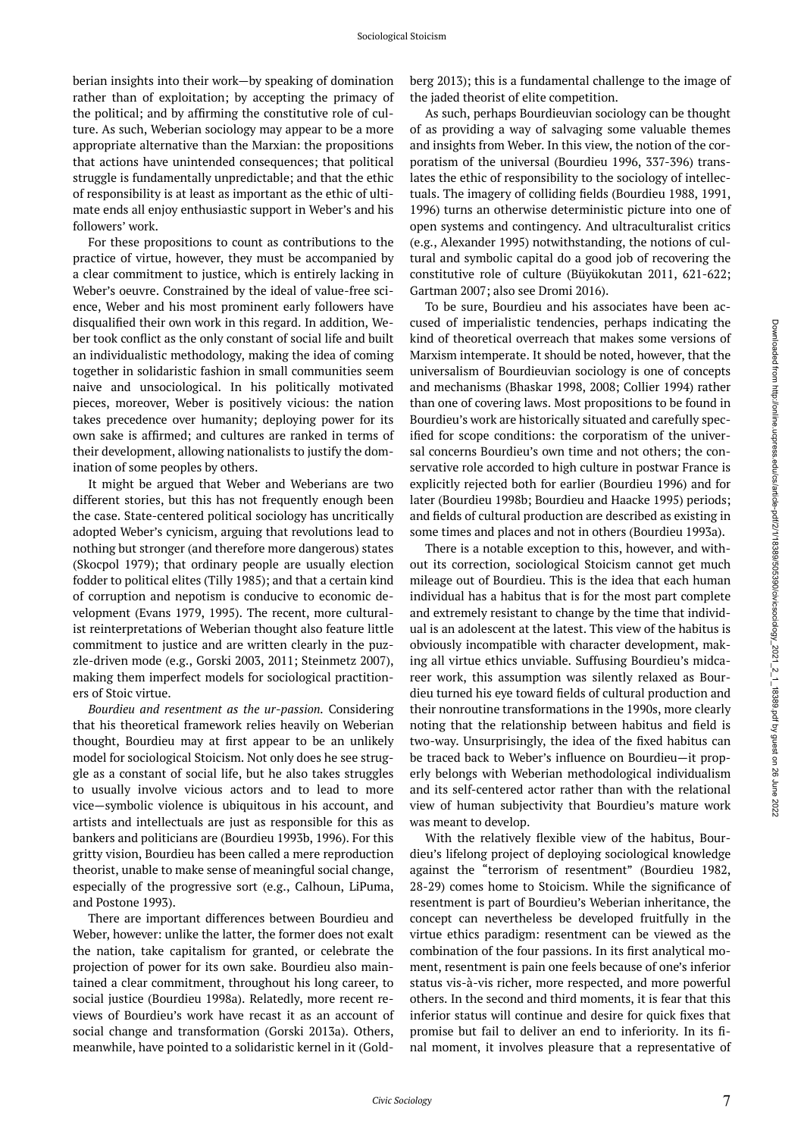berian insights into their work—by speaking of domination rather than of exploitation; by accepting the primacy of the political; and by affirming the constitutive role of culture. As such, Weberian sociology may appear to be a more appropriate alternative than the Marxian: the propositions that actions have unintended consequences; that political struggle is fundamentally unpredictable; and that the ethic of responsibility is at least as important as the ethic of ultimate ends all enjoy enthusiastic support in Weber's and his followers' work.

For these propositions to count as contributions to the practice of virtue, however, they must be accompanied by a clear commitment to justice, which is entirely lacking in Weber's oeuvre. Constrained by the ideal of value-free science, Weber and his most prominent early followers have disqualified their own work in this regard. In addition, Weber took conflict as the only constant of social life and built an individualistic methodology, making the idea of coming together in solidaristic fashion in small communities seem naive and unsociological. In his politically motivated pieces, moreover, Weber is positively vicious: the nation takes precedence over humanity; deploying power for its own sake is affirmed; and cultures are ranked in terms of their development, allowing nationalists to justify the domination of some peoples by others.

It might be argued that Weber and Weberians are two different stories, but this has not frequently enough been the case. State-centered political sociology has uncritically adopted Weber's cynicism, arguing that revolutions lead to nothing but stronger (and therefore more dangerous) states (Skocpol 1979); that ordinary people are usually election fodder to political elites (Tilly 1985); and that a certain kind of corruption and nepotism is conducive to economic development (Evans 1979, 1995). The recent, more culturalist reinterpretations of Weberian thought also feature little commitment to justice and are written clearly in the puzzle-driven mode (e.g., Gorski 2003, 2011; Steinmetz 2007), making them imperfect models for sociological practitioners of Stoic virtue.

*Bourdieu and resentment as the ur-passion.* Considering that his theoretical framework relies heavily on Weberian thought, Bourdieu may at first appear to be an unlikely model for sociological Stoicism. Not only does he see struggle as a constant of social life, but he also takes struggles to usually involve vicious actors and to lead to more vice—symbolic violence is ubiquitous in his account, and artists and intellectuals are just as responsible for this as bankers and politicians are (Bourdieu 1993b, 1996). For this gritty vision, Bourdieu has been called a mere reproduction theorist, unable to make sense of meaningful social change, especially of the progressive sort (e.g., Calhoun, LiPuma, and Postone 1993).

There are important differences between Bourdieu and Weber, however: unlike the latter, the former does not exalt the nation, take capitalism for granted, or celebrate the projection of power for its own sake. Bourdieu also maintained a clear commitment, throughout his long career, to social justice (Bourdieu 1998a). Relatedly, more recent reviews of Bourdieu's work have recast it as an account of social change and transformation (Gorski 2013a). Others, meanwhile, have pointed to a solidaristic kernel in it (Goldberg 2013); this is a fundamental challenge to the image of the jaded theorist of elite competition.

As such, perhaps Bourdieuvian sociology can be thought of as providing a way of salvaging some valuable themes and insights from Weber. In this view, the notion of the corporatism of the universal (Bourdieu 1996, 337-396) translates the ethic of responsibility to the sociology of intellectuals. The imagery of colliding fields (Bourdieu 1988, 1991, 1996) turns an otherwise deterministic picture into one of open systems and contingency. And ultraculturalist critics (e.g., Alexander 1995) notwithstanding, the notions of cultural and symbolic capital do a good job of recovering the constitutive role of culture (Büyükokutan 2011, 621-622; Gartman 2007; also see Dromi 2016).

To be sure, Bourdieu and his associates have been accused of imperialistic tendencies, perhaps indicating the kind of theoretical overreach that makes some versions of Marxism intemperate. It should be noted, however, that the universalism of Bourdieuvian sociology is one of concepts and mechanisms (Bhaskar 1998, 2008; Collier 1994) rather than one of covering laws. Most propositions to be found in Bourdieu's work are historically situated and carefully specified for scope conditions: the corporatism of the universal concerns Bourdieu's own time and not others; the conservative role accorded to high culture in postwar France is explicitly rejected both for earlier (Bourdieu 1996) and for later (Bourdieu 1998b; Bourdieu and Haacke 1995) periods; and fields of cultural production are described as existing in some times and places and not in others (Bourdieu 1993a).

There is a notable exception to this, however, and without its correction, sociological Stoicism cannot get much mileage out of Bourdieu. This is the idea that each human individual has a habitus that is for the most part complete and extremely resistant to change by the time that individual is an adolescent at the latest. This view of the habitus is obviously incompatible with character development, making all virtue ethics unviable. Suffusing Bourdieu's midcareer work, this assumption was silently relaxed as Bourdieu turned his eye toward fields of cultural production and their nonroutine transformations in the 1990s, more clearly noting that the relationship between habitus and field is two-way. Unsurprisingly, the idea of the fixed habitus can be traced back to Weber's influence on Bourdieu—it properly belongs with Weberian methodological individualism and its self-centered actor rather than with the relational view of human subjectivity that Bourdieu's mature work was meant to develop.

With the relatively flexible view of the habitus, Bourdieu's lifelong project of deploying sociological knowledge against the "terrorism of resentment" (Bourdieu 1982, 28-29) comes home to Stoicism. While the significance of resentment is part of Bourdieu's Weberian inheritance, the concept can nevertheless be developed fruitfully in the virtue ethics paradigm: resentment can be viewed as the combination of the four passions. In its first analytical moment, resentment is pain one feels because of one's inferior status vis-à-vis richer, more respected, and more powerful others. In the second and third moments, it is fear that this inferior status will continue and desire for quick fixes that promise but fail to deliver an end to inferiority. In its final moment, it involves pleasure that a representative of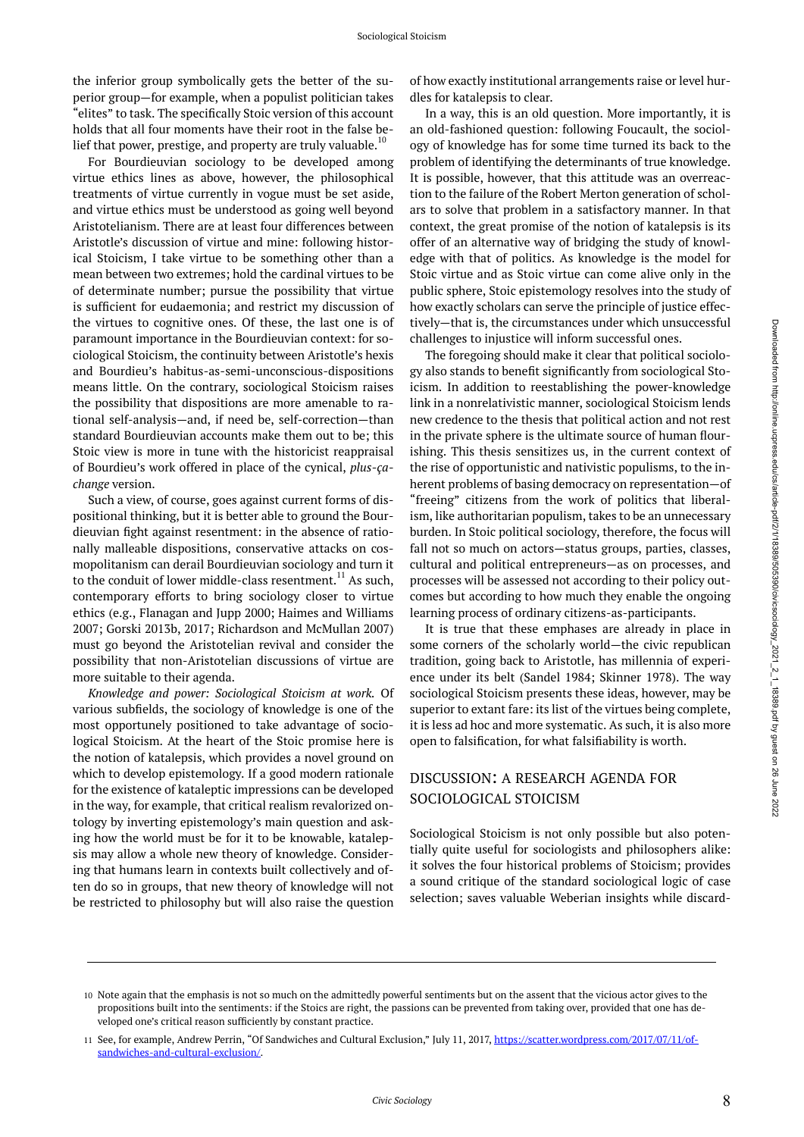the inferior group symbolically gets the better of the superior group—for example, when a populist politician takes "elites" to task. The specifically Stoic version of this account holds that all four moments have their root in the false belief that power, prestige, and property are truly valuable.<sup>10</sup>

For Bourdieuvian sociology to be developed among virtue ethics lines as above, however, the philosophical treatments of virtue currently in vogue must be set aside, and virtue ethics must be understood as going well beyond Aristotelianism. There are at least four differences between Aristotle's discussion of virtue and mine: following historical Stoicism, I take virtue to be something other than a mean between two extremes; hold the cardinal virtues to be of determinate number; pursue the possibility that virtue is sufficient for eudaemonia; and restrict my discussion of the virtues to cognitive ones. Of these, the last one is of paramount importance in the Bourdieuvian context: for sociological Stoicism, the continuity between Aristotle's hexis and Bourdieu's habitus-as-semi-unconscious-dispositions means little. On the contrary, sociological Stoicism raises the possibility that dispositions are more amenable to rational self-analysis—and, if need be, self-correction—than standard Bourdieuvian accounts make them out to be; this Stoic view is more in tune with the historicist reappraisal of Bourdieu's work offered in place of the cynical, *plus-çachange* version.

Such a view, of course, goes against current forms of dispositional thinking, but it is better able to ground the Bourdieuvian fight against resentment: in the absence of rationally malleable dispositions, conservative attacks on cosmopolitanism can derail Bourdieuvian sociology and turn it to the conduit of lower middle-class resentment.<sup>11</sup> As such, contemporary efforts to bring sociology closer to virtue ethics (e.g., Flanagan and Jupp 2000; Haimes and Williams 2007; Gorski 2013b, 2017; Richardson and McMullan 2007) must go beyond the Aristotelian revival and consider the possibility that non-Aristotelian discussions of virtue are more suitable to their agenda.

*Knowledge and power: Sociological Stoicism at work.* Of various subfields, the sociology of knowledge is one of the most opportunely positioned to take advantage of sociological Stoicism. At the heart of the Stoic promise here is the notion of katalepsis, which provides a novel ground on which to develop epistemology. If a good modern rationale for the existence of kataleptic impressions can be developed in the way, for example, that critical realism revalorized ontology by inverting epistemology's main question and asking how the world must be for it to be knowable, katalepsis may allow a whole new theory of knowledge. Considering that humans learn in contexts built collectively and often do so in groups, that new theory of knowledge will not be restricted to philosophy but will also raise the question

of how exactly institutional arrangements raise or level hurdles for katalepsis to clear.

In a way, this is an old question. More importantly, it is an old-fashioned question: following Foucault, the sociology of knowledge has for some time turned its back to the problem of identifying the determinants of true knowledge. It is possible, however, that this attitude was an overreaction to the failure of the Robert Merton generation of scholars to solve that problem in a satisfactory manner. In that context, the great promise of the notion of katalepsis is its offer of an alternative way of bridging the study of knowledge with that of politics. As knowledge is the model for Stoic virtue and as Stoic virtue can come alive only in the public sphere, Stoic epistemology resolves into the study of how exactly scholars can serve the principle of justice effectively—that is, the circumstances under which unsuccessful challenges to injustice will inform successful ones.

The foregoing should make it clear that political sociology also stands to benefit significantly from sociological Stoicism. In addition to reestablishing the power-knowledge link in a nonrelativistic manner, sociological Stoicism lends new credence to the thesis that political action and not rest in the private sphere is the ultimate source of human flourishing. This thesis sensitizes us, in the current context of the rise of opportunistic and nativistic populisms, to the inherent problems of basing democracy on representation—of "freeing" citizens from the work of politics that liberalism, like authoritarian populism, takes to be an unnecessary burden. In Stoic political sociology, therefore, the focus will fall not so much on actors—status groups, parties, classes, cultural and political entrepreneurs—as on processes, and processes will be assessed not according to their policy outcomes but according to how much they enable the ongoing learning process of ordinary citizens-as-participants.

It is true that these emphases are already in place in some corners of the scholarly world—the civic republican tradition, going back to Aristotle, has millennia of experience under its belt (Sandel 1984; Skinner 1978). The way sociological Stoicism presents these ideas, however, may be superior to extant fare: its list of the virtues being complete, it is less ad hoc and more systematic. As such, it is also more open to falsification, for what falsifiability is worth.

#### DISCUSSION: A RESEARCH AGENDA FOR SOCIOLOGICAL STOICISM

Sociological Stoicism is not only possible but also potentially quite useful for sociologists and philosophers alike: it solves the four historical problems of Stoicism; provides a sound critique of the standard sociological logic of case selection; saves valuable Weberian insights while discard-

<sup>10</sup> Note again that the emphasis is not so much on the admittedly powerful sentiments but on the assent that the vicious actor gives to the propositions built into the sentiments: if the Stoics are right, the passions can be prevented from taking over, provided that one has developed one's critical reason sufficiently by constant practice.

<sup>11</sup> See, for example, Andrew Perrin, "Of Sandwiches and Cultural Exclusion," July 11, 2017, [https://scatter.wordpress.com/2017/07/11/of](https://scatter.wordpress.com/2017/07/11/of-sandwiches-and-cultural-exclusion/)[sandwiches-and-cultural-exclusion/.](https://scatter.wordpress.com/2017/07/11/of-sandwiches-and-cultural-exclusion/)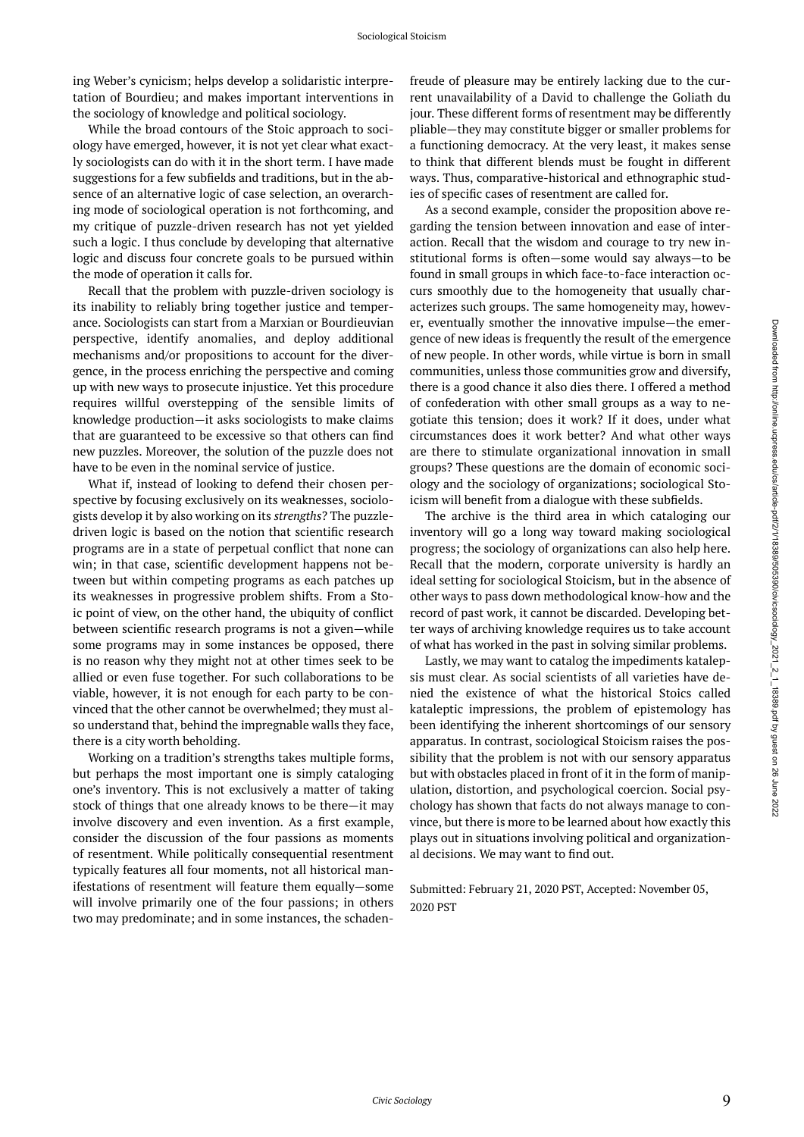ing Weber's cynicism; helps develop a solidaristic interpretation of Bourdieu; and makes important interventions in the sociology of knowledge and political sociology.

While the broad contours of the Stoic approach to sociology have emerged, however, it is not yet clear what exactly sociologists can do with it in the short term. I have made suggestions for a few subfields and traditions, but in the absence of an alternative logic of case selection, an overarching mode of sociological operation is not forthcoming, and my critique of puzzle-driven research has not yet yielded such a logic. I thus conclude by developing that alternative logic and discuss four concrete goals to be pursued within the mode of operation it calls for.

Recall that the problem with puzzle-driven sociology is its inability to reliably bring together justice and temperance. Sociologists can start from a Marxian or Bourdieuvian perspective, identify anomalies, and deploy additional mechanisms and/or propositions to account for the divergence, in the process enriching the perspective and coming up with new ways to prosecute injustice. Yet this procedure requires willful overstepping of the sensible limits of knowledge production—it asks sociologists to make claims that are guaranteed to be excessive so that others can find new puzzles. Moreover, the solution of the puzzle does not have to be even in the nominal service of justice.

What if, instead of looking to defend their chosen perspective by focusing exclusively on its weaknesses, sociologists develop it by also working on its *strengths*? The puzzledriven logic is based on the notion that scientific research programs are in a state of perpetual conflict that none can win; in that case, scientific development happens not between but within competing programs as each patches up its weaknesses in progressive problem shifts. From a Stoic point of view, on the other hand, the ubiquity of conflict between scientific research programs is not a given—while some programs may in some instances be opposed, there is no reason why they might not at other times seek to be allied or even fuse together. For such collaborations to be viable, however, it is not enough for each party to be convinced that the other cannot be overwhelmed; they must also understand that, behind the impregnable walls they face, there is a city worth beholding.

Working on a tradition's strengths takes multiple forms, but perhaps the most important one is simply cataloging one's inventory. This is not exclusively a matter of taking stock of things that one already knows to be there—it may involve discovery and even invention. As a first example, consider the discussion of the four passions as moments of resentment. While politically consequential resentment typically features all four moments, not all historical manifestations of resentment will feature them equally—some will involve primarily one of the four passions; in others two may predominate; and in some instances, the schaden-

freude of pleasure may be entirely lacking due to the current unavailability of a David to challenge the Goliath du jour. These different forms of resentment may be differently pliable—they may constitute bigger or smaller problems for a functioning democracy. At the very least, it makes sense to think that different blends must be fought in different ways. Thus, comparative-historical and ethnographic studies of specific cases of resentment are called for.

As a second example, consider the proposition above regarding the tension between innovation and ease of interaction. Recall that the wisdom and courage to try new institutional forms is often—some would say always—to be found in small groups in which face-to-face interaction occurs smoothly due to the homogeneity that usually characterizes such groups. The same homogeneity may, however, eventually smother the innovative impulse—the emergence of new ideas is frequently the result of the emergence of new people. In other words, while virtue is born in small communities, unless those communities grow and diversify, there is a good chance it also dies there. I offered a method of confederation with other small groups as a way to negotiate this tension; does it work? If it does, under what circumstances does it work better? And what other ways are there to stimulate organizational innovation in small groups? These questions are the domain of economic sociology and the sociology of organizations; sociological Stoicism will benefit from a dialogue with these subfields.

The archive is the third area in which cataloging our inventory will go a long way toward making sociological progress; the sociology of organizations can also help here. Recall that the modern, corporate university is hardly an ideal setting for sociological Stoicism, but in the absence of other ways to pass down methodological know-how and the record of past work, it cannot be discarded. Developing better ways of archiving knowledge requires us to take account of what has worked in the past in solving similar problems.

Lastly, we may want to catalog the impediments katalepsis must clear. As social scientists of all varieties have denied the existence of what the historical Stoics called kataleptic impressions, the problem of epistemology has been identifying the inherent shortcomings of our sensory apparatus. In contrast, sociological Stoicism raises the possibility that the problem is not with our sensory apparatus but with obstacles placed in front of it in the form of manipulation, distortion, and psychological coercion. Social psychology has shown that facts do not always manage to convince, but there is more to be learned about how exactly this plays out in situations involving political and organizational decisions. We may want to find out.

Submitted: February 21, 2020 PST, Accepted: November 05, 2020 PST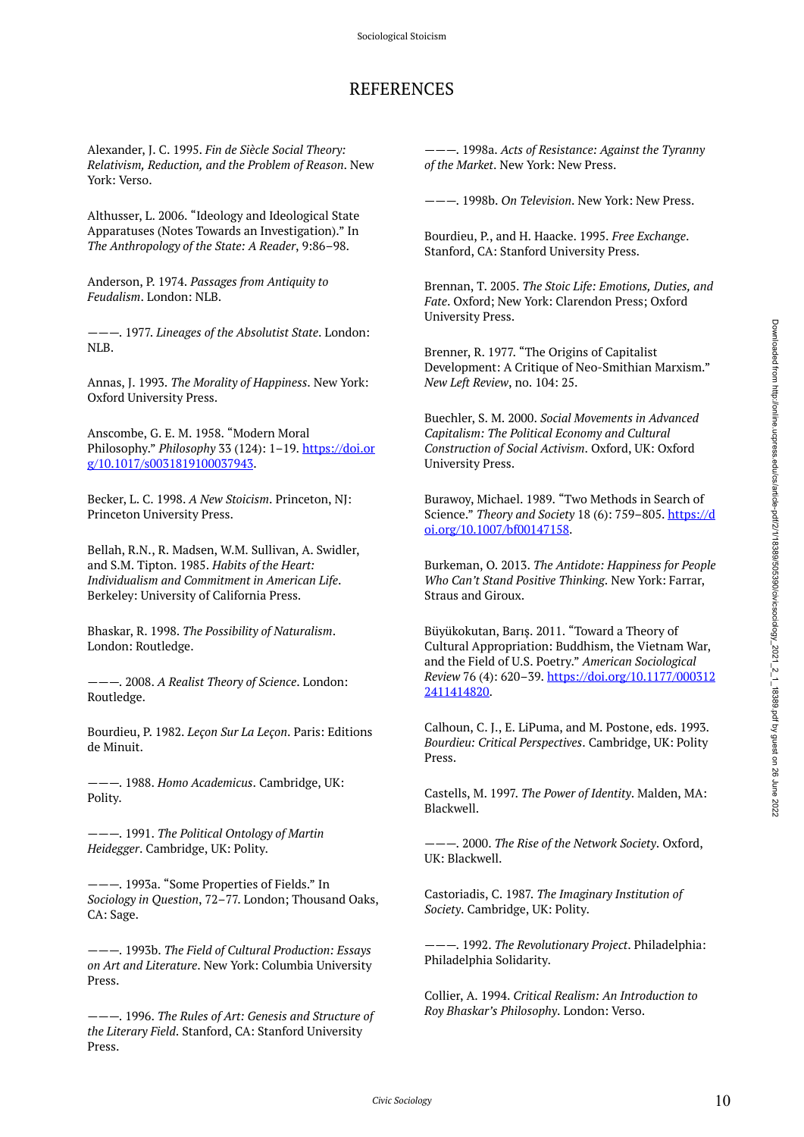# REFERENCES

Alexander, J. C. 1995. *Fin de Siècle Social Theory: Relativism, Reduction, and the Problem of Reason*. New York: Verso.

Althusser, L. 2006. "Ideology and Ideological State Apparatuses (Notes Towards an Investigation)." In *The Anthropology of the State: A Reader*, 9:86–98.

Anderson, P. 1974. *Passages from Antiquity to Feudalism*. London: NLB.

———. 1977. *Lineages of the Absolutist State*. London: NLB.

Annas, J. 1993. *The Morality of Happiness*. New York: Oxford University Press.

Anscombe, G. E. M. 1958. "Modern Moral Philosophy." *Philosophy* 33 (124): 1–19. [https://doi.or](https://doi.org/10.1017/s0031819100037943) [g/10.1017/s0031819100037943.](https://doi.org/10.1017/s0031819100037943)

Becker, L. C. 1998. *A New Stoicism*. Princeton, NJ: Princeton University Press.

Bellah, R.N., R. Madsen, W.M. Sullivan, A. Swidler, and S.M. Tipton. 1985. *Habits of the Heart: Individualism and Commitment in American Life*. Berkeley: University of California Press.

Bhaskar, R. 1998. *The Possibility of Naturalism*. London: Routledge.

———. 2008. *A Realist Theory of Science*. London: Routledge.

Bourdieu, P. 1982. *Leçon Sur La Leçon*. Paris: Editions de Minuit.

———. 1988. *Homo Academicus*. Cambridge, UK: Polity.

———. 1991. *The Political Ontology of Martin Heidegger*. Cambridge, UK: Polity.

———. 1993a. "Some Properties of Fields." In *Sociology in Question*, 72–77. London; Thousand Oaks, CA: Sage.

———. 1993b. *The Field of Cultural Production: Essays on Art and Literature*. New York: Columbia University Press.

———. 1996. *The Rules of Art: Genesis and Structure of the Literary Field*. Stanford, CA: Stanford University Press.

———. 1998a. *Acts of Resistance: Against the Tyranny of the Market*. New York: New Press.

———. 1998b. *On Television*. New York: New Press.

Bourdieu, P., and H. Haacke. 1995. *Free Exchange*. Stanford, CA: Stanford University Press.

Brennan, T. 2005. *The Stoic Life: Emotions, Duties, and Fate*. Oxford; New York: Clarendon Press; Oxford University Press.

Brenner, R. 1977. "The Origins of Capitalist Development: A Critique of Neo-Smithian Marxism." *New Left Review*, no. 104: 25.

Buechler, S. M. 2000. *Social Movements in Advanced Capitalism: The Political Economy and Cultural Construction of Social Activism*. Oxford, UK: Oxford University Press.

Burawoy, Michael. 1989. "Two Methods in Search of Science." *Theory and Society* 18 (6): 759–805. [https://d](https://doi.org/10.1007/bf00147158) [oi.org/10.1007/bf00147158.](https://doi.org/10.1007/bf00147158)

Burkeman, O. 2013. *The Antidote: Happiness for People Who Can't Stand Positive Thinking*. New York: Farrar, Straus and Giroux.

Büyükokutan, Barış. 2011. "Toward a Theory of Cultural Appropriation: Buddhism, the Vietnam War, and the Field of U.S. Poetry." *American Sociological Review* 76 (4): 620–39. [https://doi.org/10.1177/000312](https://doi.org/10.1177/0003122411414820) [2411414820](https://doi.org/10.1177/0003122411414820).

Calhoun, C. J., E. LiPuma, and M. Postone, eds. 1993. *Bourdieu: Critical Perspectives*. Cambridge, UK: Polity Press.

Castells, M. 1997. *The Power of Identity*. Malden, MA: Blackwell.

———. 2000. *The Rise of the Network Society*. Oxford, UK: Blackwell.

Castoriadis, C. 1987. *The Imaginary Institution of Society*. Cambridge, UK: Polity.

———. 1992. *The Revolutionary Project*. Philadelphia: Philadelphia Solidarity.

Collier, A. 1994. *Critical Realism: An Introduction to Roy Bhaskar's Philosophy*. London: Verso.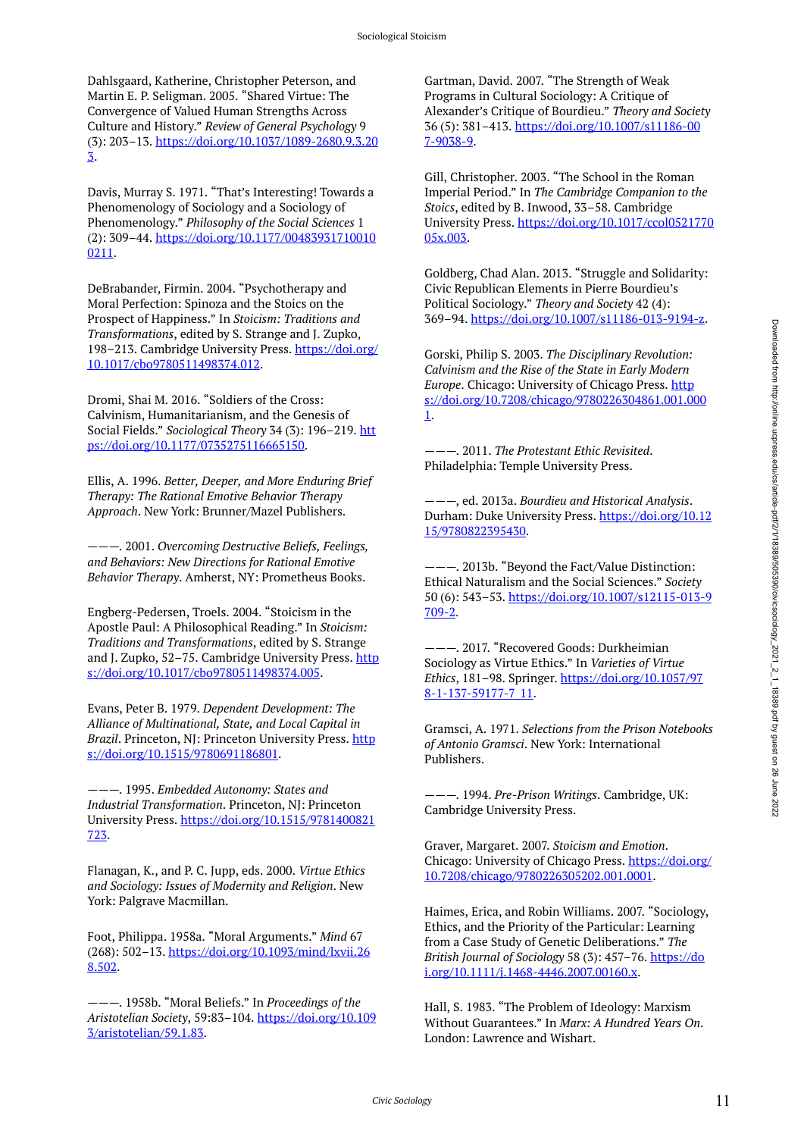Dahlsgaard, Katherine, Christopher Peterson, and Martin E. P. Seligman. 2005. "Shared Virtue: The Convergence of Valued Human Strengths Across Culture and History." *Review of General Psychology* 9 (3): 203–13. [https://doi.org/10.1037/1089-2680.9.3.20](https://doi.org/10.1037/1089-2680.9.3.203) [3.](https://doi.org/10.1037/1089-2680.9.3.203)

Davis, Murray S. 1971. "That's Interesting! Towards a Phenomenology of Sociology and a Sociology of Phenomenology." *Philosophy of the Social Sciences* 1 (2): 309–44. [https://doi.org/10.1177/00483931710010](https://doi.org/10.1177/004839317100100211) [0211.](https://doi.org/10.1177/004839317100100211)

DeBrabander, Firmin. 2004. "Psychotherapy and Moral Perfection: Spinoza and the Stoics on the Prospect of Happiness." In *Stoicism: Traditions and Transformations*, edited by S. Strange and J. Zupko, 198–213. Cambridge University Press. [https://doi.org/](https://doi.org/10.1017/cbo9780511498374.012) [10.1017/cbo9780511498374.012.](https://doi.org/10.1017/cbo9780511498374.012)

Dromi, Shai M. 2016. "Soldiers of the Cross: Calvinism, Humanitarianism, and the Genesis of Social Fields." *Sociological Theory* 34 (3): 196–219. [htt](https://doi.org/10.1177/0735275116665150) [ps://doi.org/10.1177/0735275116665150.](https://doi.org/10.1177/0735275116665150)

Ellis, A. 1996. *Better, Deeper, and More Enduring Brief Therapy: The Rational Emotive Behavior Therapy Approach*. New York: Brunner/Mazel Publishers.

———. 2001. *Overcoming Destructive Beliefs, Feelings, and Behaviors: New Directions for Rational Emotive Behavior Therapy*. Amherst, NY: Prometheus Books.

Engberg-Pedersen, Troels. 2004. "Stoicism in the Apostle Paul: A Philosophical Reading." In *Stoicism: Traditions and Transformations*, edited by S. Strange and J. Zupko, 52-75. Cambridge University Press. [http](https://doi.org/10.1017/cbo9780511498374.005) [s://doi.org/10.1017/cbo9780511498374.005](https://doi.org/10.1017/cbo9780511498374.005).

Evans, Peter B. 1979. *Dependent Development: The Alliance of Multinational, State, and Local Capital in Brazil*. Princeton, NJ: Princeton University Press. [http](https://doi.org/10.1515/9780691186801) [s://doi.org/10.1515/9780691186801](https://doi.org/10.1515/9780691186801).

———. 1995. *Embedded Autonomy: States and Industrial Transformation*. Princeton, NJ: Princeton University Press. [https://doi.org/10.1515/9781400821](https://doi.org/10.1515/9781400821723) [723](https://doi.org/10.1515/9781400821723).

Flanagan, K., and P. C. Jupp, eds. 2000. *Virtue Ethics and Sociology: Issues of Modernity and Religion*. New York: Palgrave Macmillan.

Foot, Philippa. 1958a. "Moral Arguments." *Mind* 67 (268): 502–13. [https://doi.org/10.1093/mind/lxvii.26](https://doi.org/10.1093/mind/lxvii.268.502) [8.502](https://doi.org/10.1093/mind/lxvii.268.502).

———. 1958b. "Moral Beliefs." In *Proceedings of the Aristotelian Society*, 59:83–104. [https://doi.org/10.109](https://doi.org/10.1093/aristotelian/59.1.83) [3/aristotelian/59.1.83.](https://doi.org/10.1093/aristotelian/59.1.83)

Gartman, David. 2007. "The Strength of Weak Programs in Cultural Sociology: A Critique of Alexander's Critique of Bourdieu." *Theory and Society*  36 (5): 381–413. [https://doi.org/10.1007/s11186-00](https://doi.org/10.1007/s11186-007-9038-9) [7-9038-9](https://doi.org/10.1007/s11186-007-9038-9).

Gill, Christopher. 2003. "The School in the Roman Imperial Period." In *The Cambridge Companion to the Stoics*, edited by B. Inwood, 33–58. Cambridge University Press. [https://doi.org/10.1017/ccol0521770](https://doi.org/10.1017/ccol052177005x.003) [05x.003.](https://doi.org/10.1017/ccol052177005x.003)

Goldberg, Chad Alan. 2013. "Struggle and Solidarity: Civic Republican Elements in Pierre Bourdieu's Political Sociology." *Theory and Society* 42 (4): 369–94. [https://doi.org/10.1007/s11186-013-9194-z.](https://doi.org/10.1007/s11186-013-9194-z)

Gorski, Philip S. 2003. *The Disciplinary Revolution: Calvinism and the Rise of the State in Early Modern Europe*. Chicago: University of Chicago Press. [http](https://doi.org/10.7208/chicago/9780226304861.001.0001) [s://doi.org/10.7208/chicago/9780226304861.001.000](https://doi.org/10.7208/chicago/9780226304861.001.0001) [1](https://doi.org/10.7208/chicago/9780226304861.001.0001).

———. 2011. *The Protestant Ethic Revisited*. Philadelphia: Temple University Press.

———, ed. 2013a. *Bourdieu and Historical Analysis*. Durham: Duke University Press. [https://doi.org/10.12](https://doi.org/10.1215/9780822395430) [15/9780822395430](https://doi.org/10.1215/9780822395430).

———. 2013b. "Beyond the Fact/Value Distinction: Ethical Naturalism and the Social Sciences." *Society*  50 (6): 543–53. [https://doi.org/10.1007/s12115-013-9](https://doi.org/10.1007/s12115-013-9709-2) [709-2](https://doi.org/10.1007/s12115-013-9709-2).

 $-$ . 2017. "Recovered Goods: Durkheimian Sociology as Virtue Ethics." In *Varieties of Virtue Ethics*, 181–98. Springer. [https://doi.org/10.1057/97](https://doi.org/10.1057/978-1-137-59177-7_11) [8-1-137-59177-7\\_11.](https://doi.org/10.1057/978-1-137-59177-7_11)

Gramsci, A. 1971. *Selections from the Prison Notebooks of Antonio Gramsci*. New York: International Publishers.

———. 1994. *Pre-Prison Writings*. Cambridge, UK: Cambridge University Press.

Graver, Margaret. 2007. *Stoicism and Emotion*. Chicago: University of Chicago Press. [https://doi.org/](https://doi.org/10.7208/chicago/9780226305202.001.0001) [10.7208/chicago/9780226305202.001.0001.](https://doi.org/10.7208/chicago/9780226305202.001.0001)

Haimes, Erica, and Robin Williams. 2007. "Sociology, Ethics, and the Priority of the Particular: Learning from a Case Study of Genetic Deliberations." *The British Journal of Sociology* 58 (3): 457–76. [https://do](https://doi.org/10.1111/j.1468-4446.2007.00160.x)  $i.org/10.1111/j.1468-4446.2007.00160.x.$  $i.org/10.1111/j.1468-4446.2007.00160.x.$ 

Hall, S. 1983. "The Problem of Ideology: Marxism Without Guarantees." In *Marx: A Hundred Years On*. London: Lawrence and Wishart.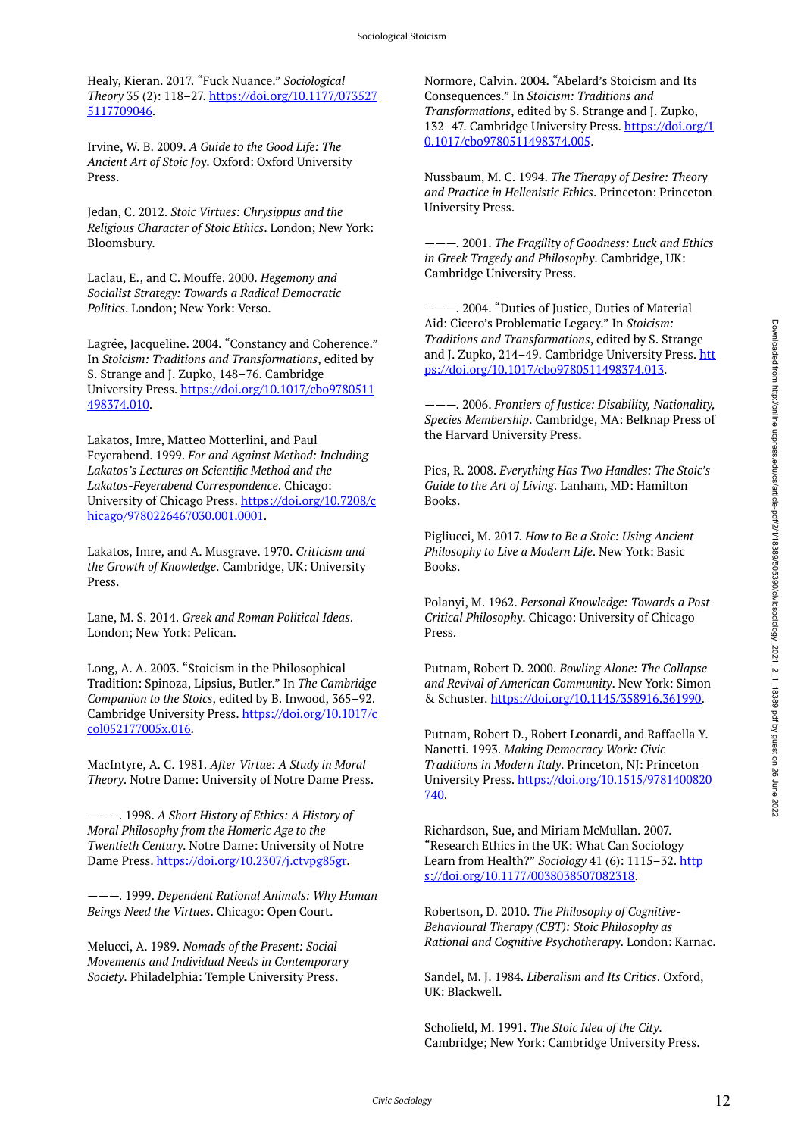Healy, Kieran. 2017. "Fuck Nuance." *Sociological Theory* 35 (2): 118–27. [https://doi.org/10.1177/073527](https://doi.org/10.1177/0735275117709046) [5117709046.](https://doi.org/10.1177/0735275117709046)

Irvine, W. B. 2009. *A Guide to the Good Life: The Ancient Art of Stoic Joy*. Oxford: Oxford University Press.

Jedan, C. 2012. *Stoic Virtues: Chrysippus and the Religious Character of Stoic Ethics*. London; New York: Bloomsbury.

Laclau, E., and C. Mouffe. 2000. *Hegemony and Socialist Strategy: Towards a Radical Democratic Politics*. London; New York: Verso.

Lagrée, Jacqueline. 2004. "Constancy and Coherence." In *Stoicism: Traditions and Transformations*, edited by S. Strange and J. Zupko, 148–76. Cambridge University Press. [https://doi.org/10.1017/cbo9780511](https://doi.org/10.1017/cbo9780511498374.010) [498374.010](https://doi.org/10.1017/cbo9780511498374.010).

Lakatos, Imre, Matteo Motterlini, and Paul Feyerabend. 1999. *For and Against Method: Including Lakatos's Lectures on Scientific Method and the Lakatos-Feyerabend Correspondence*. Chicago: University of Chicago Press. [https://doi.org/10.7208/c](https://doi.org/10.7208/chicago/9780226467030.001.0001) [hicago/9780226467030.001.0001](https://doi.org/10.7208/chicago/9780226467030.001.0001).

Lakatos, Imre, and A. Musgrave. 1970. *Criticism and the Growth of Knowledge*. Cambridge, UK: University Press.

Lane, M. S. 2014. *Greek and Roman Political Ideas*. London; New York: Pelican.

Long, A. A. 2003. "Stoicism in the Philosophical Tradition: Spinoza, Lipsius, Butler." In *The Cambridge Companion to the Stoics*, edited by B. Inwood, 365–92. Cambridge University Press. [https://doi.org/10.1017/c](https://doi.org/10.1017/ccol052177005x.016) [col052177005x.016](https://doi.org/10.1017/ccol052177005x.016).

MacIntyre, A. C. 1981. *After Virtue: A Study in Moral Theory*. Notre Dame: University of Notre Dame Press.

———. 1998. *A Short History of Ethics: A History of Moral Philosophy from the Homeric Age to the Twentieth Century*. Notre Dame: University of Notre Dame Press. [https://doi.org/10.2307/j.ctvpg85gr.](https://doi.org/10.2307/j.ctvpg85gr)

———. 1999. *Dependent Rational Animals: Why Human Beings Need the Virtues*. Chicago: Open Court.

Melucci, A. 1989. *Nomads of the Present: Social Movements and Individual Needs in Contemporary Society*. Philadelphia: Temple University Press.

Normore, Calvin. 2004. "Abelard's Stoicism and Its Consequences." In *Stoicism: Traditions and Transformations*, edited by S. Strange and J. Zupko, 132-47. Cambridge University Press. [https://doi.org/1](https://doi.org/10.1017/cbo9780511498374.005) [0.1017/cbo9780511498374.005](https://doi.org/10.1017/cbo9780511498374.005).

Nussbaum, M. C. 1994. *The Therapy of Desire: Theory and Practice in Hellenistic Ethics*. Princeton: Princeton University Press.

———. 2001. *The Fragility of Goodness: Luck and Ethics in Greek Tragedy and Philosophy*. Cambridge, UK: Cambridge University Press.

- 2004. "Duties of Justice, Duties of Material Aid: Cicero's Problematic Legacy." In *Stoicism: Traditions and Transformations*, edited by S. Strange and J. Zupko, 214-49. Cambridge University Press. [htt](https://doi.org/10.1017/cbo9780511498374.013) [ps://doi.org/10.1017/cbo9780511498374.013.](https://doi.org/10.1017/cbo9780511498374.013)

———. 2006. *Frontiers of Justice: Disability, Nationality, Species Membership*. Cambridge, MA: Belknap Press of the Harvard University Press.

Pies, R. 2008. *Everything Has Two Handles: The Stoic's Guide to the Art of Living*. Lanham, MD: Hamilton Books.

Pigliucci, M. 2017. *How to Be a Stoic: Using Ancient Philosophy to Live a Modern Life*. New York: Basic Books.

Polanyi, M. 1962. *Personal Knowledge: Towards a Post-Critical Philosophy*. Chicago: University of Chicago Press.

Putnam, Robert D. 2000. *Bowling Alone: The Collapse and Revival of American Community*. New York: Simon & Schuster.<https://doi.org/10.1145/358916.361990>.

Putnam, Robert D., Robert Leonardi, and Raffaella Y. Nanetti. 1993. *Making Democracy Work: Civic Traditions in Modern Italy*. Princeton, NJ: Princeton University Press. [https://doi.org/10.1515/9781400820](https://doi.org/10.1515/9781400820740) [740.](https://doi.org/10.1515/9781400820740)

Richardson, Sue, and Miriam McMullan. 2007. "Research Ethics in the UK: What Can Sociology Learn from Health?" *Sociology* 41 (6): 1115-32. [http](https://doi.org/10.1177/0038038507082318) [s://doi.org/10.1177/0038038507082318](https://doi.org/10.1177/0038038507082318).

Robertson, D. 2010. *The Philosophy of Cognitive-Behavioural Therapy (CBT): Stoic Philosophy as Rational and Cognitive Psychotherapy*. London: Karnac.

Sandel, M. J. 1984. *Liberalism and Its Critics*. Oxford, UK: Blackwell.

Schofield, M. 1991. *The Stoic Idea of the City*. Cambridge; New York: Cambridge University Press.